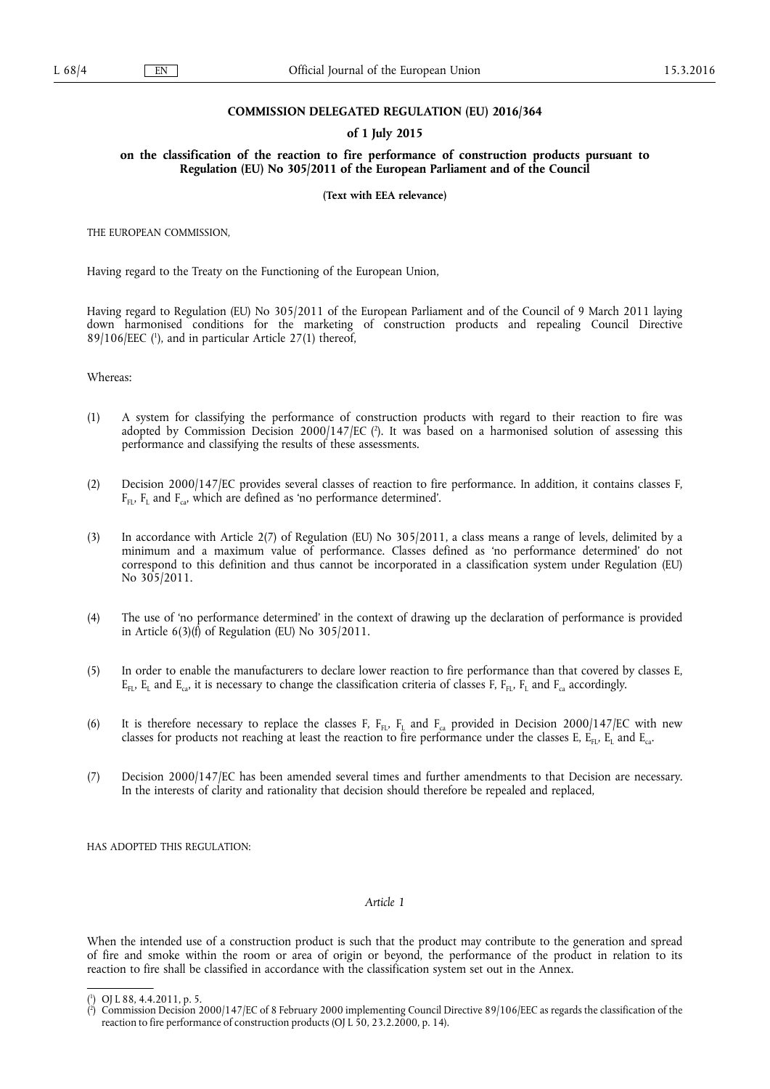#### **COMMISSION DELEGATED REGULATION (EU) 2016/364**

### **of 1 July 2015**

**on the classification of the reaction to fire performance of construction products pursuant to Regulation (EU) No 305/2011 of the European Parliament and of the Council** 

**(Text with EEA relevance)** 

THE EUROPEAN COMMISSION,

Having regard to the Treaty on the Functioning of the European Union,

Having regard to Regulation (EU) No 305/2011 of the European Parliament and of the Council of 9 March 2011 laying down harmonised conditions for the marketing of construction products and repealing Council Directive 89/106/EEC ( 1 ), and in particular Article 27(1) thereof,

Whereas:

- (1) A system for classifying the performance of construction products with regard to their reaction to fire was adopted by Commission Decision 2000/147/EC (?). It was based on a harmonised solution of assessing this performance and classifying the results of these assessments.
- (2) Decision 2000/147/EC provides several classes of reaction to fire performance. In addition, it contains classes F,  $F_{FL}$ ,  $F_{L}$  and  $F_{ca}$ , which are defined as 'no performance determined'.
- (3) In accordance with Article 2(7) of Regulation (EU) No 305/2011, a class means a range of levels, delimited by a minimum and a maximum value of performance. Classes defined as 'no performance determined' do not correspond to this definition and thus cannot be incorporated in a classification system under Regulation (EU) No 305/2011.
- (4) The use of 'no performance determined' in the context of drawing up the declaration of performance is provided in Article  $6(3)(f)$  of Regulation (EU) No 305/2011.
- (5) In order to enable the manufacturers to declare lower reaction to fire performance than that covered by classes E,  $E_{FL}$ ,  $E_{L}$  and  $E_{ca}$ , it is necessary to change the classification criteria of classes F,  $F_{FL}$ ,  $F_{L}$  and  $F_{ca}$  accordingly.
- (6) It is therefore necessary to replace the classes F,  $F_{F1}$ ,  $F_{L}$  and  $F_{ca}$  provided in Decision 2000/147/EC with new classes for products not reaching at least the reaction to fire performance under the classes E,  $E_{F1}$ ,  $E_{L}$  and  $E_{ca}$ .
- (7) Decision 2000/147/EC has been amended several times and further amendments to that Decision are necessary. In the interests of clarity and rationality that decision should therefore be repealed and replaced,

HAS ADOPTED THIS REGULATION:

### *Article 1*

When the intended use of a construction product is such that the product may contribute to the generation and spread of fire and smoke within the room or area of origin or beyond, the performance of the product in relation to its reaction to fire shall be classified in accordance with the classification system set out in the Annex.

<sup>(</sup> 1 ) OJ L 88, 4.4.2011, p. 5.

<sup>(</sup> 2 ) Commission Decision 2000/147/EC of 8 February 2000 implementing Council Directive 89/106/EEC as regards the classification of the reaction to fire performance of construction products (OJ L 50, 23.2.2000, p. 14).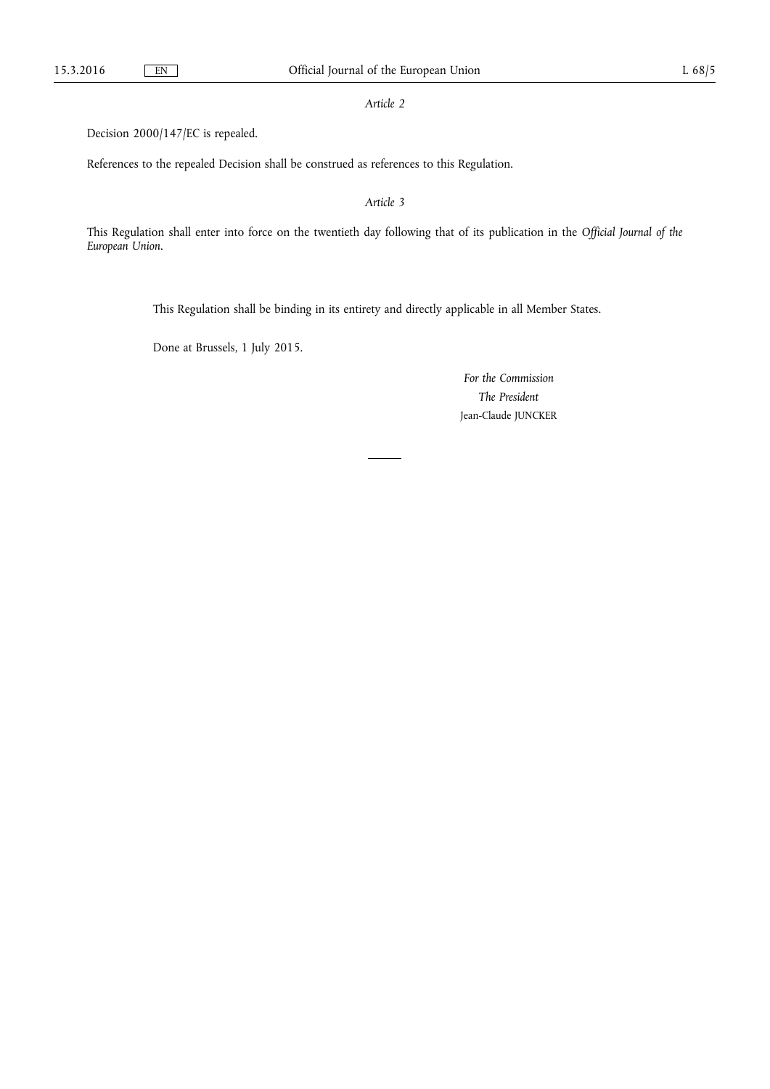*Article 2* 

Decision 2000/147/EC is repealed.

References to the repealed Decision shall be construed as references to this Regulation.

*Article 3* 

This Regulation shall enter into force on the twentieth day following that of its publication in the *Official Journal of the European Union*.

This Regulation shall be binding in its entirety and directly applicable in all Member States.

Done at Brussels, 1 July 2015.

*For the Commission The President*  Jean-Claude JUNCKER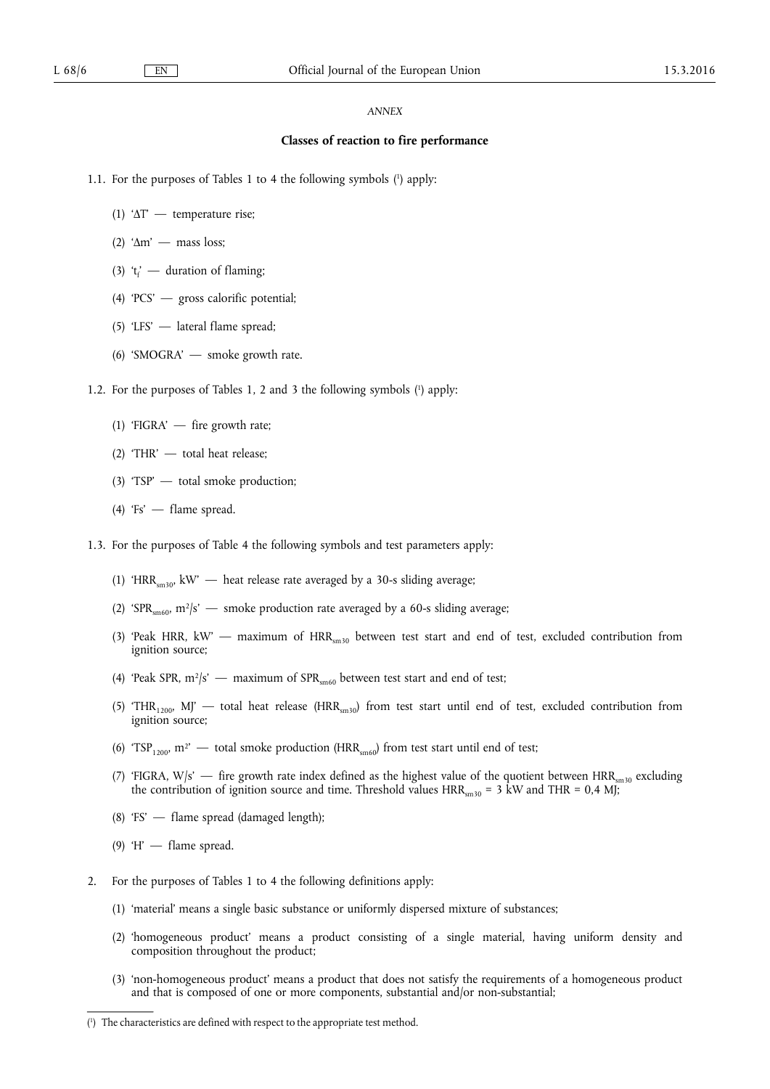### *ANNEX*

## **Classes of reaction to fire performance**

- 1.1. For the purposes of Tables 1 to 4 the following symbols ( 1 ) apply:
	- (1) 'ΔΤ' temperature rise;
	- (2) 'Δm' mass loss;
	- (3) ' $t_f'$  duration of flaming;
	- (4) 'PCS' gross calorific potential;
	- (5) 'LFS' lateral flame spread;
	- (6) 'SMOGRA' smoke growth rate.
- 1.2. For the purposes of Tables 1, 2 and 3 the following symbols ( 1 ) apply:
	- (1) 'FIGRA' fire growth rate;
	- (2) 'THR' total heat release;
	- (3) 'TSP' total smoke production;
	- (4) 'Fs' flame spread.
- 1.3. For the purposes of Table 4 the following symbols and test parameters apply:
	- (1) 'HRR<sub>sm30</sub>, kW'  $-$  heat release rate averaged by a 30-s sliding average;
	- (2) 'SPR<sub>sm60</sub>,  $m^2/s'$  smoke production rate averaged by a 60-s sliding average;
	- (3) 'Peak HRR, kW' maximum of  $HRR_{sm30}$  between test start and end of test, excluded contribution from ignition source;
	- (4) 'Peak SPR,  $m^2/s'$  maximum of SPR<sub>sm60</sub> between test start and end of test;
	- (5) 'THR<sub>1200</sub>, MJ' total heat release (HRR<sub>sm30</sub>) from test start until end of test, excluded contribution from ignition source;
	- (6) 'TSP<sub>1200</sub>, m<sup>2</sup>' total smoke production (HRR<sub>sm60</sub>) from test start until end of test;
	- (7) 'FIGRA,  $W/s'$  fire growth rate index defined as the highest value of the quotient between  $HRR_{sm30}$  excluding the contribution of ignition source and time. Threshold values  $HRR_{cm30} = 3$  kW and THR = 0,4 MJ;
	- (8) 'FS' flame spread (damaged length);
	- (9)  $H'$  flame spread.
- 2. For the purposes of Tables 1 to 4 the following definitions apply:
	- (1) 'material' means a single basic substance or uniformly dispersed mixture of substances;
	- (2) 'homogeneous product' means a product consisting of a single material, having uniform density and composition throughout the product;
	- (3) 'non-homogeneous product' means a product that does not satisfy the requirements of a homogeneous product and that is composed of one or more components, substantial and/or non-substantial;

<sup>(</sup> 1 ) The characteristics are defined with respect to the appropriate test method.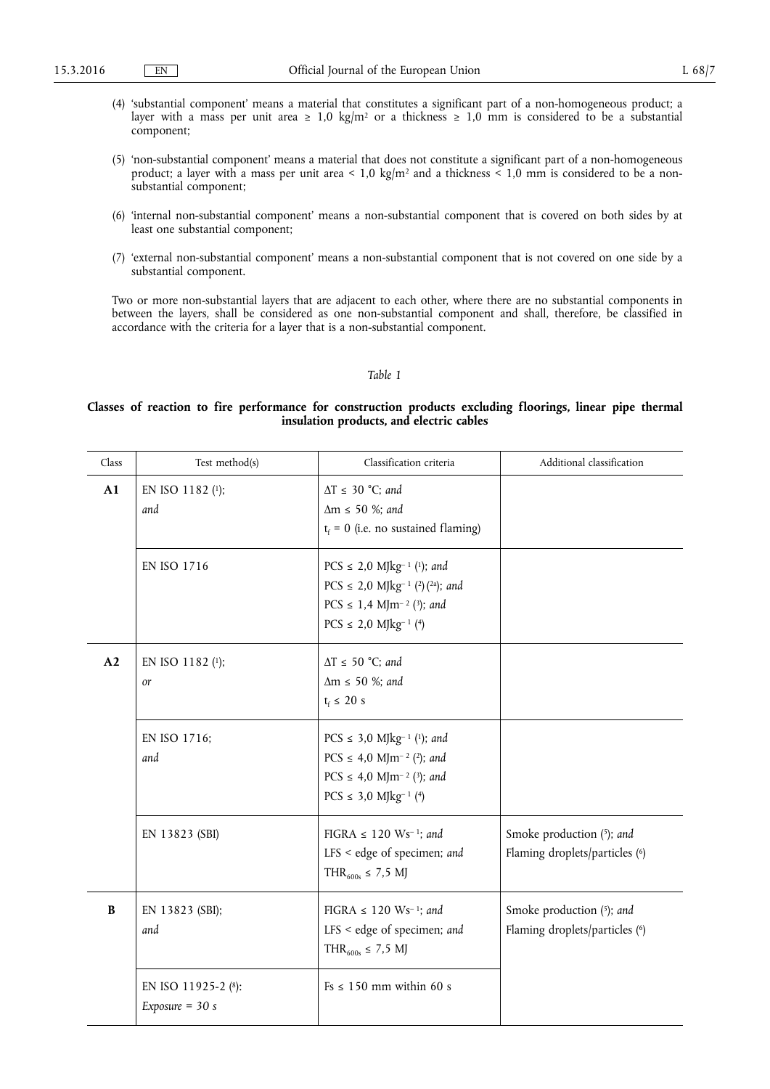- (4) 'substantial component' means a material that constitutes a significant part of a non-homogeneous product; a layer with a mass per unit area  $\geq 1.0 \text{ kg/m}^2$  or a thickness  $\geq 1.0 \text{ mm}$  is considered to be a substantial component;
- (5) 'non-substantial component' means a material that does not constitute a significant part of a non-homogeneous product; a layer with a mass per unit area < 1,0 kg/m<sup>2</sup> and a thickness < 1,0 mm is considered to be a nonsubstantial component;
- (6) 'internal non-substantial component' means a non-substantial component that is covered on both sides by at least one substantial component;
- (7) 'external non-substantial component' means a non-substantial component that is not covered on one side by a substantial component.

Two or more non-substantial layers that are adjacent to each other, where there are no substantial components in between the layers, shall be considered as one non-substantial component and shall, therefore, be classified in accordance with the criteria for a layer that is a non-substantial component.

## *Table 1*

## **Classes of reaction to fire performance for construction products excluding floorings, linear pipe thermal insulation products, and electric cables**

| Class    | Test method(s)                           | Classification criteria                                                                                                                                                                    | Additional classification                                   |
|----------|------------------------------------------|--------------------------------------------------------------------------------------------------------------------------------------------------------------------------------------------|-------------------------------------------------------------|
| A1       | EN ISO 1182 (1);<br>and                  | $\Delta T \leq 30$ °C; and<br>$\Delta m \le 50$ %; and<br>$t_f = 0$ (i.e. no sustained flaming)                                                                                            |                                                             |
|          | EN ISO 1716                              | PCS $\leq$ 2,0 MJkg <sup>-1</sup> (1); and<br>PCS $\leq$ 2,0 MJkg <sup>-1</sup> (2)(2a); and<br>PCS $\leq$ 1,4 MJm <sup>-2</sup> (3); and<br>$PCS \le 2.0$ MJkg <sup>-1</sup> (4)          |                                                             |
| A2       | EN ISO 1182 (1);<br>or                   | $\Delta T \le 50$ °C; and<br>$\Delta m \le 50$ %; and<br>$t_f \leq 20 s$                                                                                                                   |                                                             |
|          | EN ISO 1716;<br>and                      | PCS $\leq$ 3,0 MJkg <sup>-1</sup> ( <sup>1</sup> ); and<br>PCS $\leq$ 4,0 MJm <sup>-2</sup> (2); and<br>PCS $\leq$ 4,0 MJm <sup>-2</sup> (3); and<br>$PCS \leq 3.0$ MJkg <sup>-1</sup> (4) |                                                             |
|          | EN 13823 (SBI)                           | FIGRA $\leq$ 120 Ws <sup>-1</sup> ; and<br>LFS < edge of specimen; and<br>THR <sub>600s</sub> ≤ 7,5 MJ                                                                                     | Smoke production (5); and<br>Flaming droplets/particles (6) |
| $\bf{B}$ | EN 13823 (SBI);<br>and                   | FIGRA $\leq$ 120 Ws <sup>-1</sup> ; and<br>LFS < edge of specimen; and<br>THR <sub>600s</sub> ≤ 7,5 MJ                                                                                     | Smoke production (5); and<br>Flaming droplets/particles (6) |
|          | EN ISO 11925-2 (8):<br>Exposure = $30 s$ | $Fs \leq 150$ mm within 60 s                                                                                                                                                               |                                                             |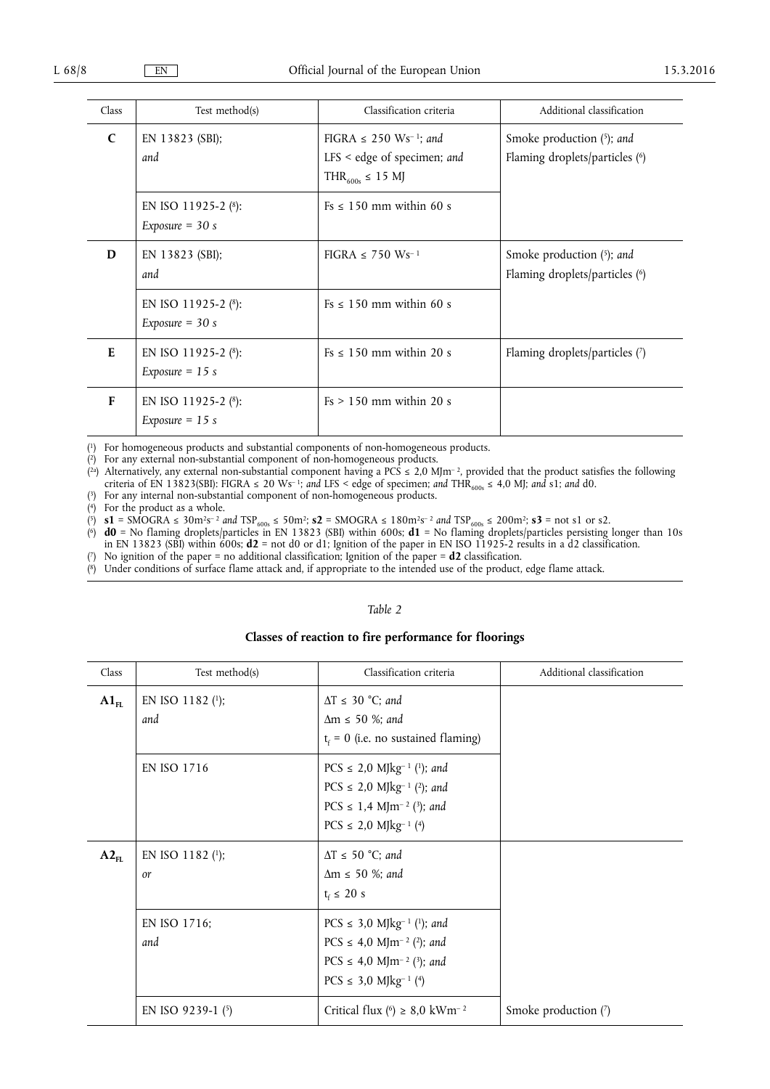| Class      | Test method(s)                              | Classification criteria                                                                                      | Additional classification                                      |
|------------|---------------------------------------------|--------------------------------------------------------------------------------------------------------------|----------------------------------------------------------------|
| $\epsilon$ | EN 13823 $(SBI);$<br>and                    | FIGRA $\leq$ 250 Ws <sup>-1</sup> ; and<br>$LFS <$ edge of specimen; and<br>THR <sub>600s</sub> $\leq$ 15 MJ | Smoke production $(5)$ ; and<br>Flaming droplets/particles (6) |
|            | EN ISO 11925-2 $(8)$ :<br>Exposure $=$ 30 s | $Fs \le 150$ mm within 60 s                                                                                  |                                                                |
| D          | EN 13823 $(SBI);$<br>and                    | FIGRA $\leq$ 750 Ws <sup>-1</sup>                                                                            | Smoke production $(5)$ ; and<br>Flaming droplets/particles (6) |
|            | EN ISO 11925-2 (8):<br>Exposure $=$ 30 s    | $Fs \leq 150$ mm within 60 s                                                                                 |                                                                |
| E          | EN ISO 11925-2 $(8)$ :<br>Exposure $= 15$ s | $Fs \leq 150$ mm within 20 s                                                                                 | Flaming droplets/particles (7)                                 |
| F          | EN ISO 11925-2 $(8)$ :<br>Exposure $= 15$ s | $Fs > 150$ mm within 20 s                                                                                    |                                                                |

( 1) For homogeneous products and substantial components of non-homogeneous products.

( 2) For any external non-substantial component of non-homogeneous products.

(<sup>2a</sup>) Alternatively, any external non-substantial component having a PCS  $\leq$  2,0 MJm<sup>-2</sup>, provided that the product satisfies the following criteria of EN 13823(SBI): FIGRA  $\leq$  20 Ws<sup>-1</sup>; and LFS < edge of specimen; and THR<sub>600s</sub>  $\leq$  4,0 MJ; and s1; and d0.

 $(3)$ For any internal non-substantial component of non-homogeneous products.

( 4) For the product as a whole.

 $(5)$  **s1** = SMOGRA  $\leq 30m^2s^{-2}$  *and*  $TSP_{600s} \leq 50m^2$ ; **s2** = SMOGRA  $\leq 180m^2s^{-2}$  *and*  $TSP_{600s} \leq 200m^2$ ; **s3** = not s1 or s2.

( 6) **d0** = No flaming droplets/particles in EN 13823 (SBI) within 600s; **d1** = No flaming droplets/particles persisting longer than 10s in EN 13823 (SBI) within 600s; **d2** = not d0 or d1; Ignition of the paper in EN ISO 11925-2 results in a d2 classification.

( 7) No ignition of the paper = no additional classification; Ignition of the paper = **d2** classification.

( 8) Under conditions of surface flame attack and, if appropriate to the intended use of the product, edge flame attack.

| Class     | Test method(s)                | Classification criteria                                                                                                                                                                    | Additional classification |
|-----------|-------------------------------|--------------------------------------------------------------------------------------------------------------------------------------------------------------------------------------------|---------------------------|
| $A1_{FL}$ | EN ISO 1182 (1);<br>and       | $\Delta T \leq 30$ °C; and<br>$\Delta m \le 50$ %; and<br>$t_f = 0$ (i.e. no sustained flaming)                                                                                            |                           |
|           | <b>EN ISO 1716</b>            | PCS $\leq$ 2,0 MJkg <sup>-1</sup> (1); and<br>PCS $\leq$ 2,0 MJkg <sup>-1</sup> (2); and<br>PCS $\leq$ 1,4 MJm <sup>-2</sup> ( <sup>3</sup> ); and<br>$PCS \le 2.0$ MJkg <sup>-1</sup> (4) |                           |
| $A2_{FL}$ | EN ISO 1182 (1);<br><i>or</i> | $\Delta T \le 50$ °C; and<br>$\Delta m \leq 50$ %; and<br>$t_f \leq 20 s$                                                                                                                  |                           |
|           | EN ISO 1716;<br>and           | PCS $\leq$ 3,0 MJkg <sup>-1</sup> (1); and<br>PCS $\leq$ 4,0 MJm <sup>-2</sup> (2); and<br>PCS $\leq$ 4,0 MJm <sup>-2</sup> (3); and<br>$PCS \leq 3.0$ MJkg <sup>-1</sup> (4)              |                           |
|           | EN ISO 9239-1 $(5)$           | Critical flux (6) $\geq$ 8,0 kWm <sup>-2</sup>                                                                                                                                             | Smoke production (7)      |

#### *Table 2*

# **Classes of reaction to fire performance for floorings**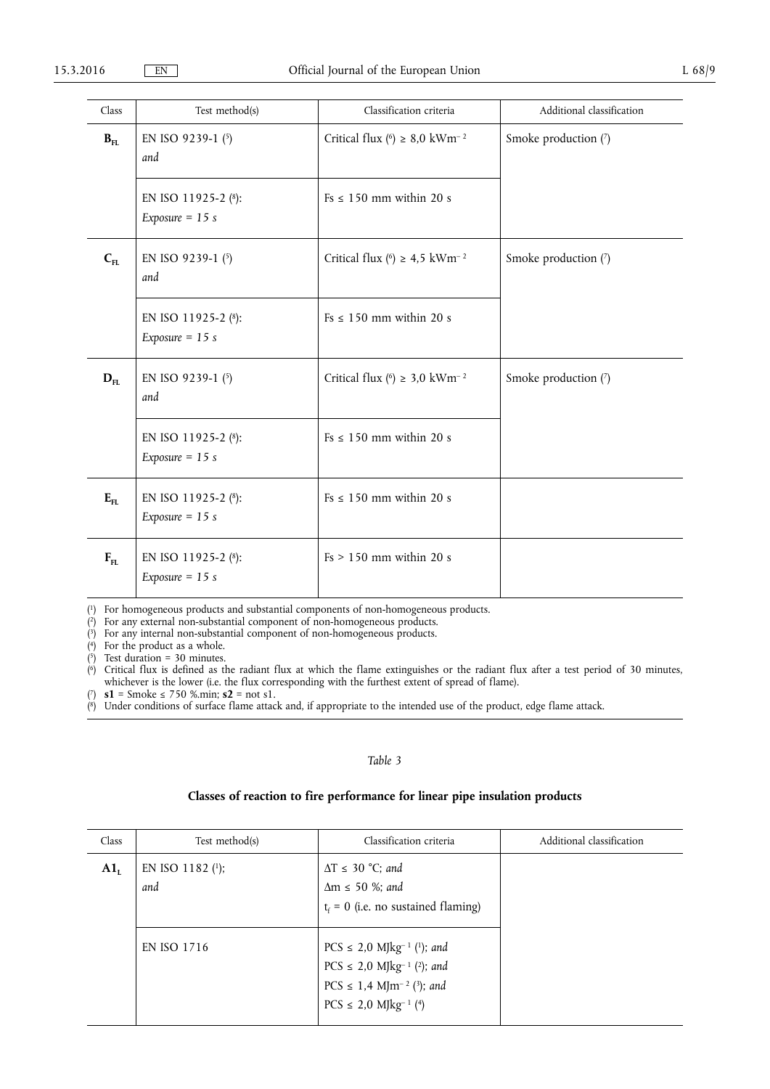| Class    | Test method(s)                           | Classification criteria                        | Additional classification |
|----------|------------------------------------------|------------------------------------------------|---------------------------|
| $B_{FL}$ | EN ISO 9239-1 (5)<br>and                 | Critical flux (6) $\geq$ 8,0 kWm <sup>-2</sup> | Smoke production (7)      |
|          | EN ISO 11925-2 (8):<br>Exposure = $15 s$ | $Fs \leq 150$ mm within 20 s                   |                           |
| $C_{FL}$ | EN ISO 9239-1 (5)<br>and                 | Critical flux (6) $\geq$ 4,5 kWm <sup>-2</sup> | Smoke production (7)      |
|          | EN ISO 11925-2 (8):<br>Exposure = $15 s$ | $Fs \leq 150$ mm within 20 s                   |                           |
| $D_{FL}$ | EN ISO 9239-1 (5)<br>and                 | Critical flux (6) $\geq$ 3,0 kWm <sup>-2</sup> | Smoke production (7)      |
|          | EN ISO 11925-2 (8):<br>Exposure $= 15$ s | $Fs \leq 150$ mm within 20 s                   |                           |
| $E_{FL}$ | EN ISO 11925-2 (8):<br>Exposure = $15 s$ | $Fs \leq 150$ mm within 20 s                   |                           |
| $F_{FL}$ | EN ISO 11925-2 (8):<br>Exposure = $15 s$ | $Fs > 150$ mm within 20 s                      |                           |

( 1) For homogeneous products and substantial components of non-homogeneous products.

( 2) For any external non-substantial component of non-homogeneous products.

( 3) For any internal non-substantial component of non-homogeneous products.

( 4) For the product as a whole.

( 5) Test duration = 30 minutes.

 $<sup>(6)</sup>$ </sup> 6) Critical flux is defined as the radiant flux at which the flame extinguishes or the radiant flux after a test period of 30 minutes, whichever is the lower (i.e. the flux corresponding with the furthest extent of spread of flame).

 $(7)$  $s1$  = Smoke ≤ 750 %.min;  $s2$  = not s1.

( 8) Under conditions of surface flame attack and, if appropriate to the intended use of the product, edge flame attack.

## *Table 3*

# **Classes of reaction to fire performance for linear pipe insulation products**

| Class  | Test method(s)             | Classification criteria                                                                                                                                                                                 | Additional classification |
|--------|----------------------------|---------------------------------------------------------------------------------------------------------------------------------------------------------------------------------------------------------|---------------------------|
| $A1_L$ | EN ISO 1182 $(1)$ ;<br>and | $\Delta T \leq 30$ °C; and<br>$\Delta m \leq 50$ %; and<br>$t_f = 0$ (i.e. no sustained flaming)                                                                                                        |                           |
|        | EN ISO 1716                | PCS $\leq$ 2,0 MJkg <sup>-1</sup> ( <sup>1</sup> ); and<br>PCS $\leq$ 2,0 MJkg <sup>-1</sup> (2); and<br>PCS $\leq$ 1,4 MJm <sup>-2</sup> ( <sup>3</sup> ); and<br>$PCS \le 2.0$ MJkg <sup>-1</sup> (4) |                           |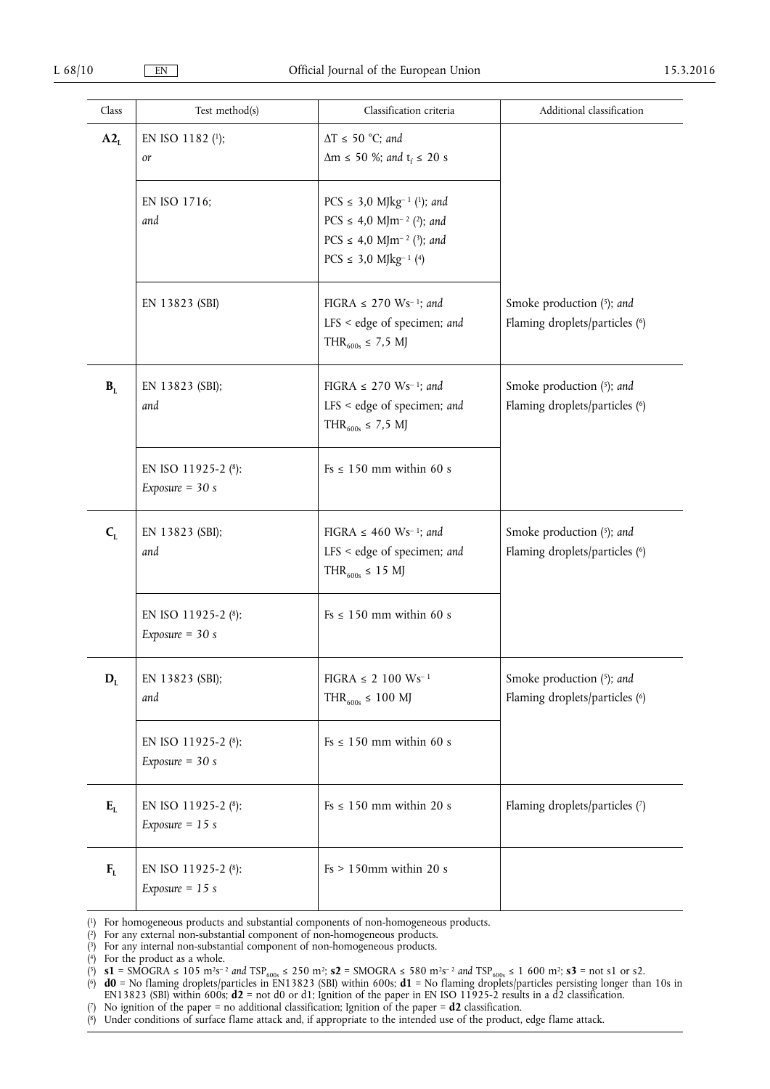| Class          | Test method(s)                           | Classification criteria                                                                                                                                                                    | Additional classification                                   |
|----------------|------------------------------------------|--------------------------------------------------------------------------------------------------------------------------------------------------------------------------------------------|-------------------------------------------------------------|
| $A2_L$         | EN ISO 1182 (1);<br>or                   | $\Delta T \le 50$ °C; and<br>$\Delta m \le 50$ %; and $t_f \le 20$ s                                                                                                                       |                                                             |
|                | EN ISO 1716;<br>and                      | PCS $\leq$ 3,0 MJkg <sup>-1</sup> ( <sup>1</sup> ); and<br>PCS $\leq$ 4,0 MJm <sup>-2</sup> (2); and<br>PCS $\leq$ 4,0 MJm <sup>-2</sup> (3); and<br>$PCS \leq 3.0$ MJkg <sup>-1</sup> (4) |                                                             |
|                | EN 13823 (SBI)                           | FIGRA $\leq$ 270 Ws <sup>-1</sup> ; and<br>LFS < edge of specimen; and<br>THR <sub>600s</sub> ≤ 7,5 MJ                                                                                     | Smoke production (5); and<br>Flaming droplets/particles (6) |
| B <sub>L</sub> | EN 13823 (SBI);<br>and                   | FIGRA $\leq$ 270 Ws <sup>-1</sup> ; and<br>LFS < edge of specimen; and<br>THR <sub>600s</sub> ≤ 7,5 MJ                                                                                     | Smoke production (5); and<br>Flaming droplets/particles (6) |
|                | EN ISO 11925-2 (8):<br>Exposure = $30 s$ | $Fs \leq 150$ mm within 60 s                                                                                                                                                               |                                                             |
| $C_{L}$        | EN 13823 (SBI);<br>and                   | FIGRA $\leq$ 460 Ws <sup>-1</sup> ; and<br>LFS < edge of specimen; and<br>THR <sub>600s</sub> $\leq$ 15 MJ                                                                                 | Smoke production (5); and<br>Flaming droplets/particles (6) |
|                | EN ISO 11925-2 (8):<br>Exposure = $30 s$ | $Fs \leq 150$ mm within 60 s                                                                                                                                                               |                                                             |
| $D_{L}$        | EN 13823 (SBI);<br>and                   | $FIGRA \leq 2$ 100 Ws <sup>-1</sup><br>THR <sub>600s</sub> $\leq 100$ MJ                                                                                                                   | Smoke production (5); and<br>Flaming droplets/particles (6) |
|                | EN ISO 11925-2 (8):<br>Exposure = $30 s$ | $Fs \leq 150$ mm within 60 s                                                                                                                                                               |                                                             |
| $E_L$          | EN ISO 11925-2 (8):<br>Exposure = $15 s$ | $Fs \leq 150$ mm within 20 s                                                                                                                                                               | Flaming droplets/particles (7)                              |
| $F_L$          | EN ISO 11925-2 (8):<br>Exposure = $15 s$ | $Fs > 150mm$ within 20 s                                                                                                                                                                   |                                                             |

 $(1)$ For homogeneous products and substantial components of non-homogeneous products.

- $\chi^2$ 2) For any external non-substantial component of non-homogeneous products.
- ( 3) For any internal non-substantial component of non-homogeneous products.
- ( 4) For the product as a whole.

- ( 6) **d0** = No flaming droplets/particles in EN13823 (SBI) within 600s; **d1** = No flaming droplets/particles persisting longer than 10s in EN13823 (SBI) within 600s; **d2** = not d0 or d1; Ignition of the paper in EN ISO 11925-2 results in a d2 classification.
- ( 7) No ignition of the paper = no additional classification; Ignition of the paper = **d2** classification.
- ( 8) Under conditions of surface flame attack and, if appropriate to the intended use of the product, edge flame attack.

<sup>(5)</sup> **s1** = SMOGRA ≤ 105 m<sup>2</sup>s<sup>-2</sup> *and*  $TSP_{600s}$  ≤ 250 m<sup>2</sup>; **s2** = SMOGRA ≤ 580 m<sup>2</sup>s<sup>-2</sup> *and*  $TSP_{600s}$  ≤ 1 600 m<sup>2</sup>; **s3** = not s1 or s2.